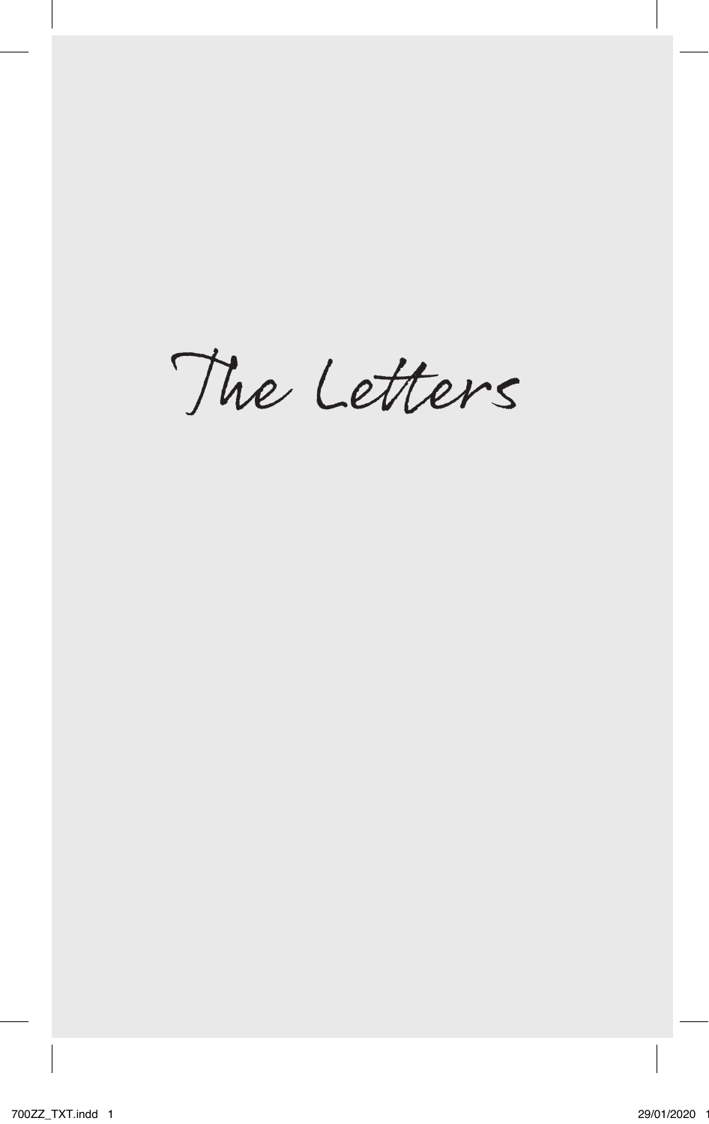The Letters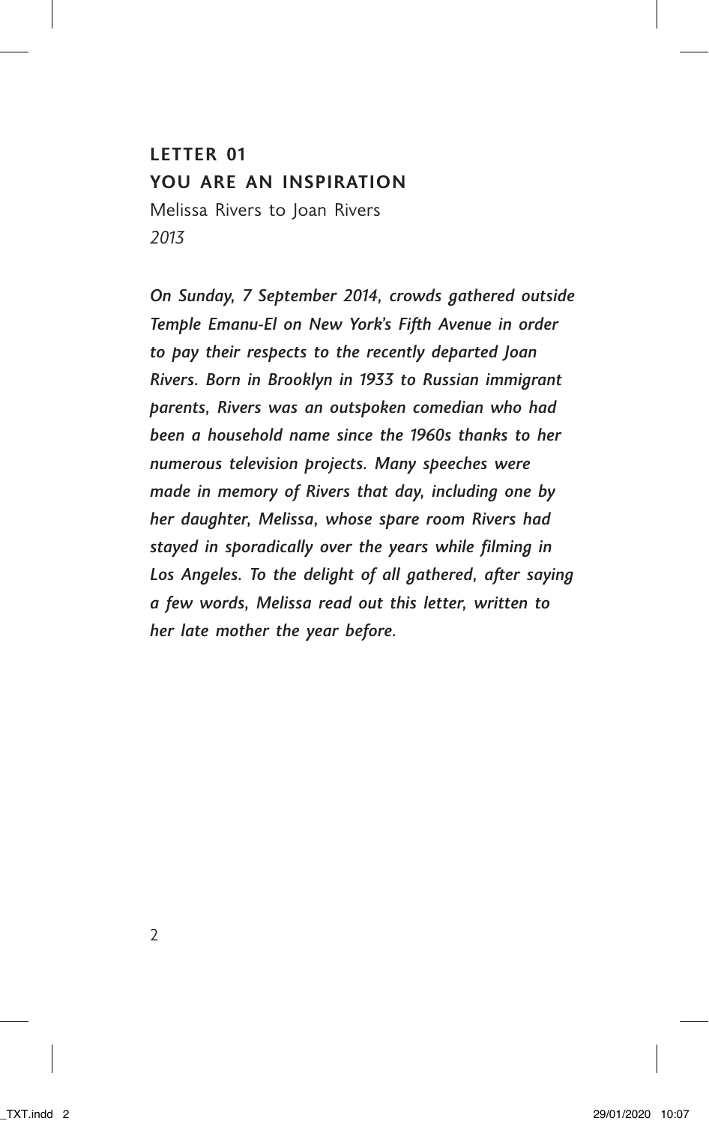## **LETTER 01 YOU ARE AN INSPIRATION** Melissa Rivers to Joan Rivers *2013*

*On Sunday, 7 September 2014, crowds gathered outside Temple Emanu-El on New York's Fifth Avenue in order to pay their respects to the recently departed Joan Rivers. Born in Brooklyn in 1933 to Russian immigrant parents, Rivers was an outspoken comedian who had been a household name since the 1960s thanks to her numerous television projects. Many speeches were made in memory of Rivers that day, including one by her daughter, Melissa, whose spare room Rivers had stayed in sporadically over the years while filming in Los Angeles. To the delight of all gathered, after saying a few words, Melissa read out this letter, written to her late mother the year before.*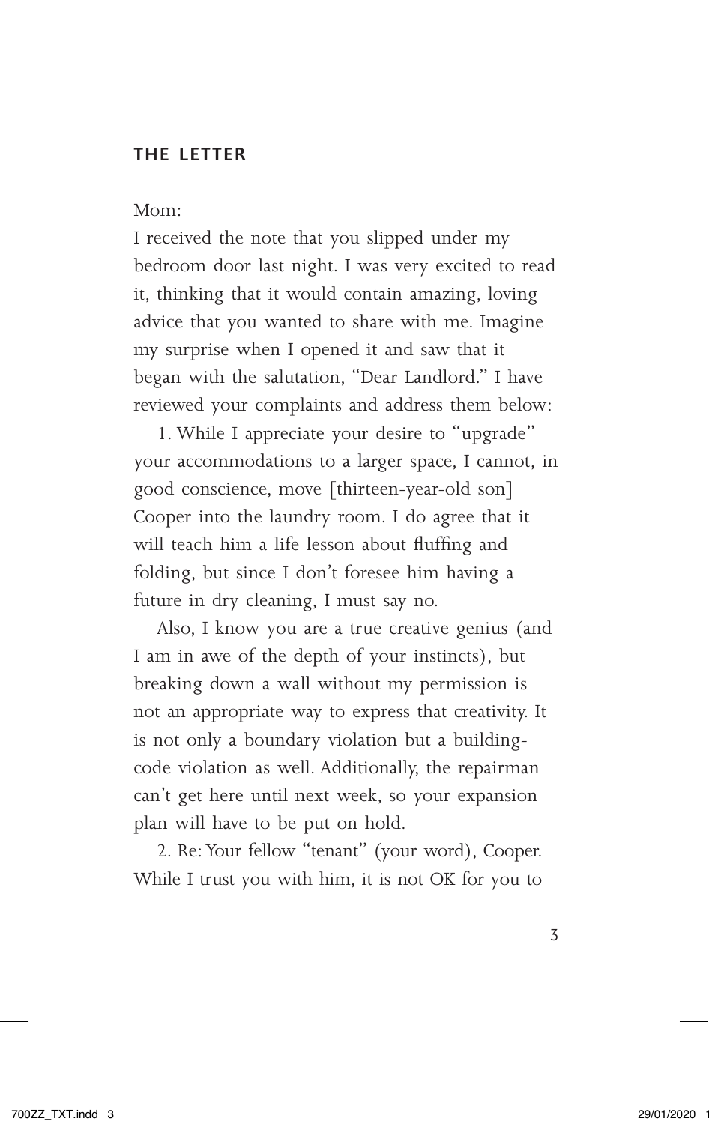### **THE LETTER**

#### Mom:

I received the note that you slipped under my bedroom door last night. I was very excited to read it, thinking that it would contain amazing, loving advice that you wanted to share with me. Imagine my surprise when I opened it and saw that it began with the salutation, "Dear Landlord." I have reviewed your complaints and address them below:

1. While I appreciate your desire to "upgrade" your accommodations to a larger space, I cannot, in good conscience, move [thirteen-year-old son] Cooper into the laundry room. I do agree that it will teach him a life lesson about fluffing and folding, but since I don't foresee him having a future in dry cleaning, I must say no.

Also, I know you are a true creative genius (and I am in awe of the depth of your instincts), but breaking down a wall without my permission is not an appropriate way to express that creativity. It is not only a boundary violation but a buildingcode violation as well. Additionally, the repairman can't get here until next week, so your expansion plan will have to be put on hold.

2. Re: Your fellow "tenant" (your word), Cooper. While I trust you with him, it is not OK for you to

3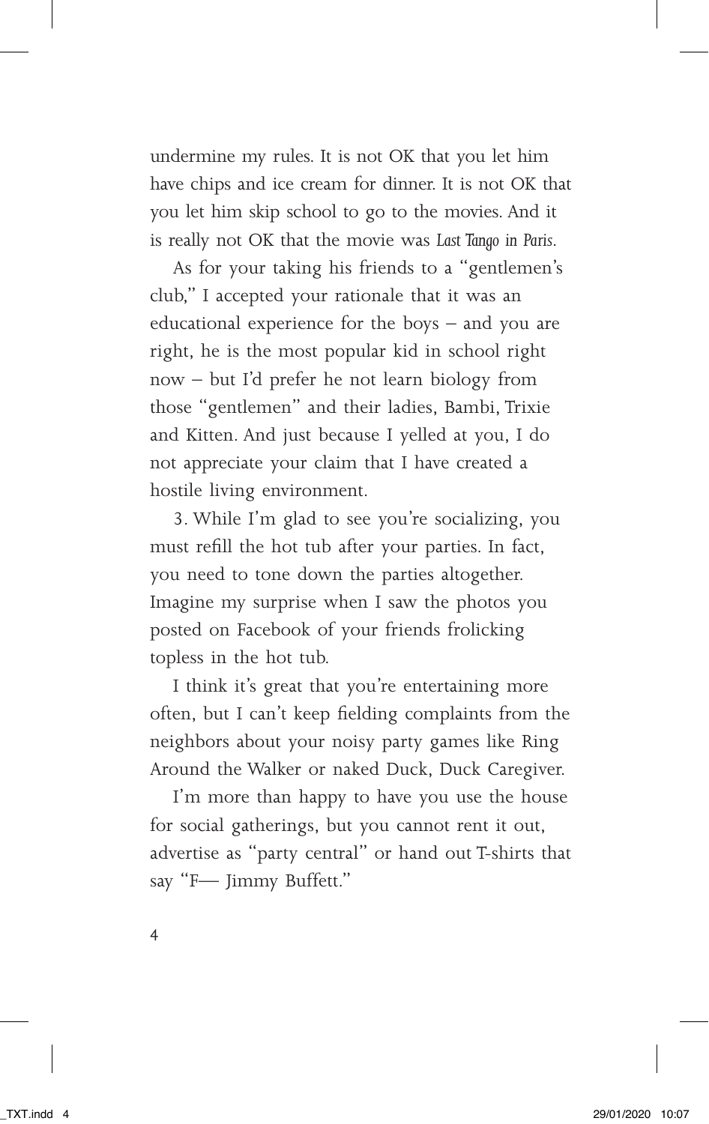undermine my rules. It is not OK that you let him have chips and ice cream for dinner. It is not OK that you let him skip school to go to the movies. And it is really not OK that the movie was *Last Tango in Paris*.

As for your taking his friends to a "gentlemen's club," I accepted your rationale that it was an educational experience for the boys – and you are right, he is the most popular kid in school right now – but I'd prefer he not learn biology from those "gentlemen" and their ladies, Bambi, Trixie and Kitten. And just because I yelled at you, I do not appreciate your claim that I have created a hostile living environment.

3. While I'm glad to see you're socializing, you must refill the hot tub after your parties. In fact, you need to tone down the parties altogether. Imagine my surprise when I saw the photos you posted on Facebook of your friends frolicking topless in the hot tub.

I think it's great that you're entertaining more often, but I can't keep fielding complaints from the neighbors about your noisy party games like Ring Around the Walker or naked Duck, Duck Caregiver.

I'm more than happy to have you use the house for social gatherings, but you cannot rent it out, advertise as "party central" or hand out T-shirts that say "F— Jimmy Buffett."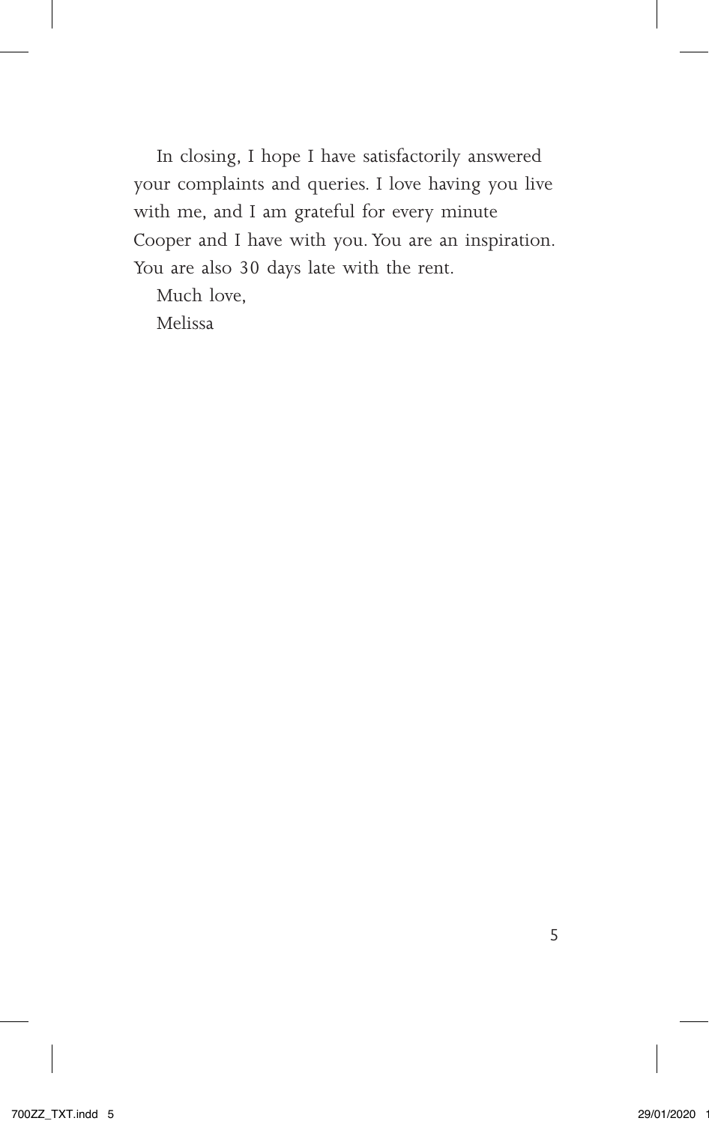In closing, I hope I have satisfactorily answered your complaints and queries. I love having you live with me, and I am grateful for every minute Cooper and I have with you. You are an inspiration. You are also 30 days late with the rent.

Much love,

Melissa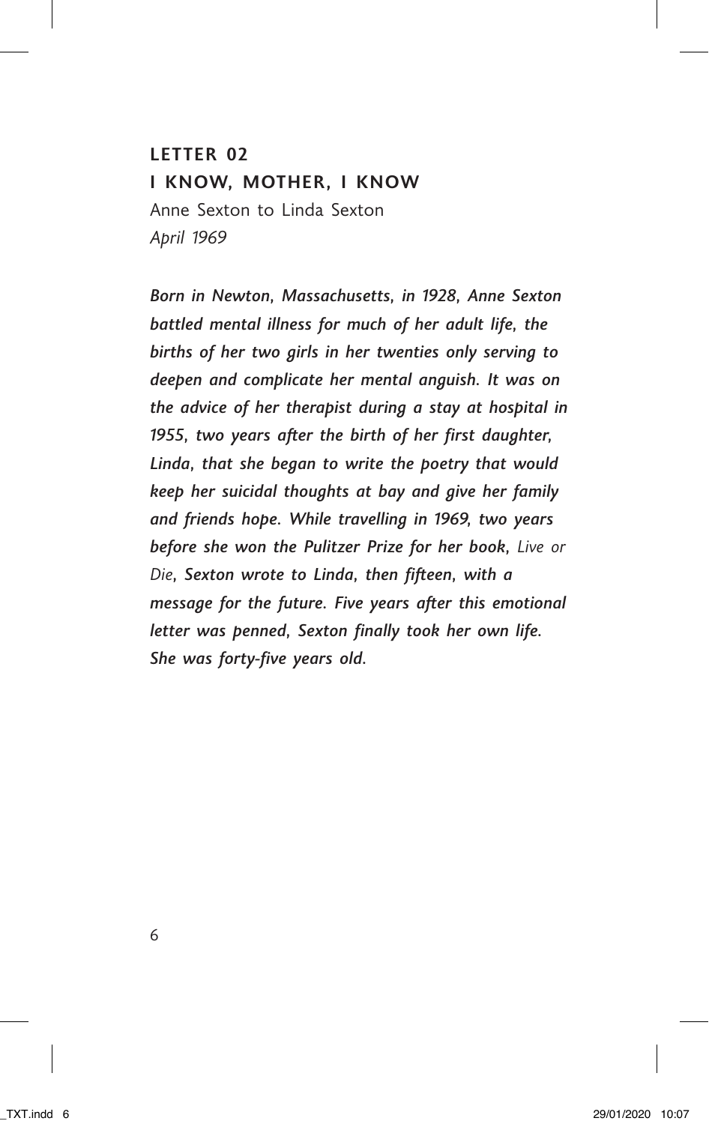# **LETTER 02 I KNOW, MOTHER, I KNOW** Anne Sexton to Linda Sexton *April 1969*

*Born in Newton, Massachusetts, in 1928, Anne Sexton battled mental illness for much of her adult life, the births of her two girls in her twenties only serving to deepen and complicate her mental anguish. It was on the advice of her therapist during a stay at hospital in 1955, two years after the birth of her first daughter, Linda, that she began to write the poetry that would keep her suicidal thoughts at bay and give her family and friends hope. While travelling in 1969, two years before she won the Pulitzer Prize for her book, Live or Die, Sexton wrote to Linda, then fifteen, with a message for the future. Five years after this emotional letter was penned, Sexton finally took her own life. She was forty-five years old.*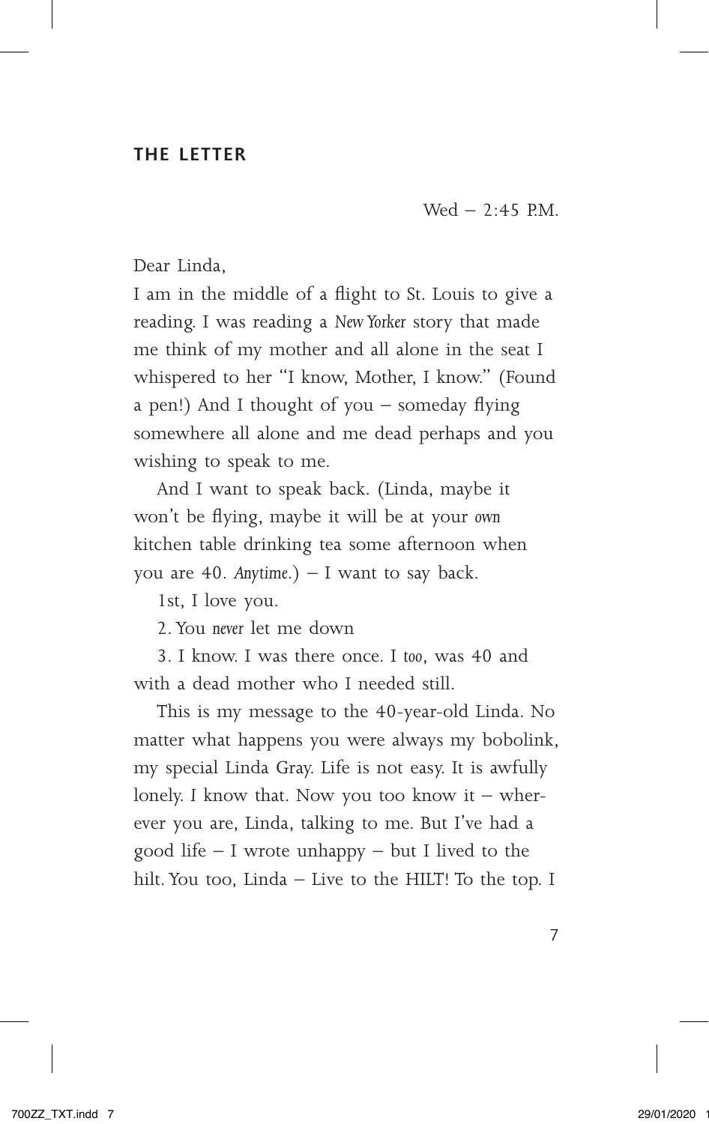#### **THE LETTER**

Wed  $-2:45$  P.M.

Dear Linda,

I am in the middle of a flight to St. Louis to give a reading. I was reading a *New Yorker* story that made me think of my mother and all alone in the seat I whispered to her "I know, Mother, I know." (Found a pen!) And I thought of you – someday flying somewhere all alone and me dead perhaps and you wishing to speak to me.

And I want to speak back. (Linda, maybe it won't be flying, maybe it will be at your *own* kitchen table drinking tea some afternoon when you are 40. *Anytime*.) – I want to say back.

1st, I love you.

2. You *never* let me down

3. I know. I was there once. I *too*, was 40 and with a dead mother who I needed still.

This is my message to the 40-year-old Linda. No matter what happens you were always my bobolink, my special Linda Gray. Life is not easy. It is awfully lonely. *I* know that. Now you too know it – wherever you are, Linda, talking to me. But I've had a good life  $-$  I wrote unhappy  $-$  but I lived to the hilt. You too, Linda – Live to the HILT! To the top. I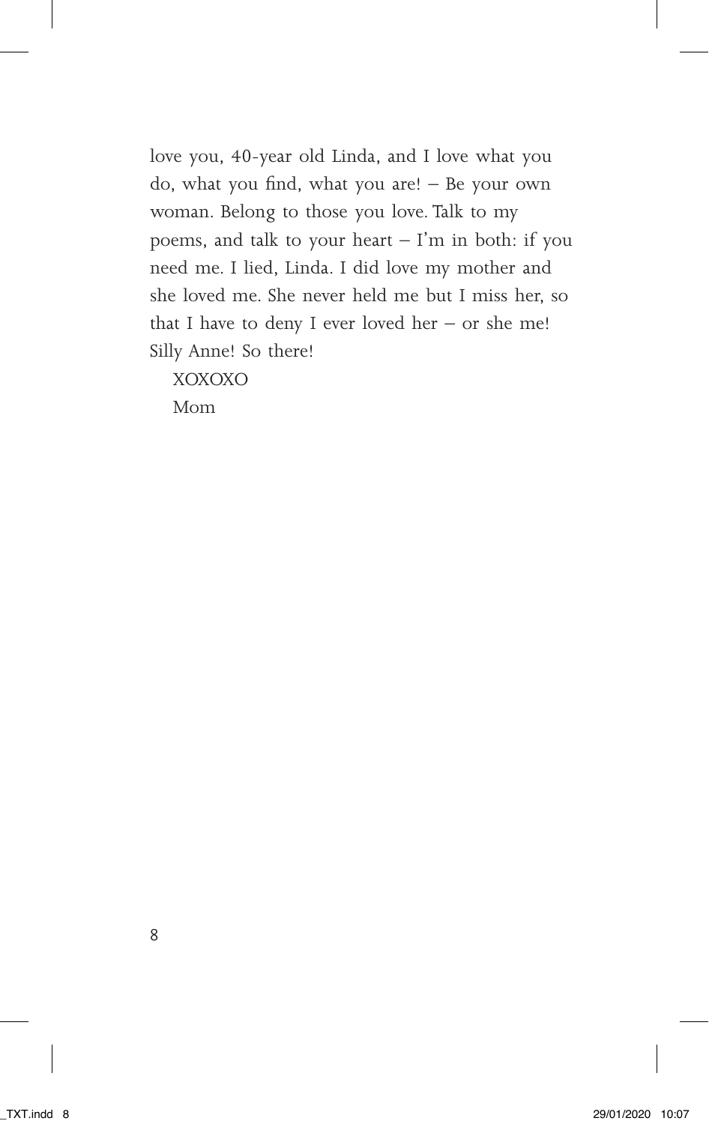love you, 40-year old Linda, and I love what you do, what you find, what you are! – Be your own woman. Belong to those you love. Talk to my poems, and talk to your heart  $-$  I'm in both: if you need me. I lied, Linda. I did love my mother and she loved me. She never held me but I miss her, so that I have to deny I ever loved her – or she me! Silly Anne! So there!

XOXOXO

Mom